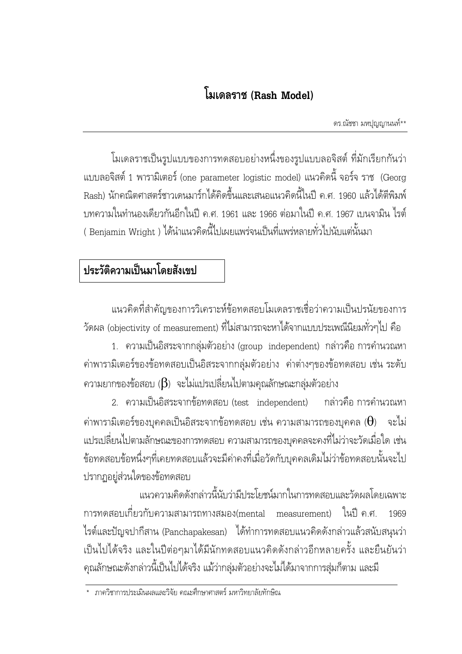ดร.ณัชชา มหปุญญานนท์\*\*

โมเดลราชเป็นรูปแบบของการทดสอบอย่างหนึ่งของรูปแบบลอจิสต์ ที่มักเรียกกันว่า แบบลอจิสต์ 1 พารามิเตอร์ (one parameter logistic model) แนวคิดนี้ จอร์จ ราช (Georg Rash) นักคณิตศาสตร์ชาวเดนมาร์กได้คิดขึ้นและเสนอแนวคิดนี้ในปี ค.ศ. 1960 แล้วได้ตีพิมพ์ บทความในทำนองเดียวกันอีกในปี ค.ศ. 1961 และ 1966 ต่อมาในปี ค.ศ. 1967 เบนจามิน ไรต์ ( Benjamin Wright ) ได้นำแนวคิดนี้ไปเผยแพร่จนเป็นที่แพร่หลายทั่วไปนับแต่นั้นมา

## ประวัติความเป็นมาโดยสังเขป

แนวคิดที่สำคัญของการวิเคราะห์ข้อทดสอบโมเดลราชเชื่อว่าความเป็นปรนัยของการ วัดผล (objectivity of measurement) ที่ไม่สามารถจะหาได้จากแบบประเพณีนิยมทั่วๆไป คือ

1. ความเป็นอิสระจากกลุ่มตัวอย่าง (group independent) กล่าวคือ การคำนวณหา ค่าพารามิเตอร์ของข้อทดสอบเป็นอิสระจากกลุ่มตัวอย่าง ค่าต่างๆของข้อทดสอบ เช่น ระดับ ความยากของข้อสอบ  $(\beta)$  จะไม่แปรเปลี่ยนไปตามคุณลักษณะกลุ่มตัวอย่าง

2. ความเป็นอิสระจากข้อทดสอบ (test independent) กล่าวคือ การคำนวณห กล่าวคือ การคำนวณหา ค่าพารามิเตอร์ของบุคคลเป็นอิสระจากข้อทดสอบ เช่น ความสามารถของบุคคล ( $\Theta$ ) จะไม่ แปรเปลี่ยนไปตามลักษณะของการทดสอบ ความสามารถของบุคคลจะคงที่ไม่ว่าจะวัดเมื่อใด เช่น ข้อทดสอบข้อหนึ่งๆที่เคยทดสอบแล้วจะมีค่าคงที่เมื่อวัดกับบุคคลเดิมไม่ว่าข้อทดสอบนั้นจะไป ปรากฏอยู่ส่วนใดของข้อทดสอบ

แนวความคิดดังกล่าวนี้นับว่ามีประโยชน์มากในการทดสอบและวัดผลโดยเฉพาะ การทดสอบเกี่ยวกับความสามารถทางสมอง(mental measurement) ในปี ค.ศ. 1969 ไรต์และปัญจปากีสาน (Panchapakesan) ได้ทำการทดสอบแนวคิดดังกล่าวแล้วสนับสนุนว่า เป็นไปได้จริง และในปีต่อๆมาได้มีนักทดสอบแนวคิดดังกล่าวอีกหลายครั้ง และยืนยันว่า คุณลักษณะดังกล่าวนี้เป็นไปได้จริง แม้ว่ากลุ่มตัวอย่างจะไม่ได้มาจากการสุ่มก็ตาม และมี

<sup>\*</sup> ภาควิชาการประเมินผลและวิจัย คณะศึกษาศาสตร์ มหาวิทยาลัยทักษิณ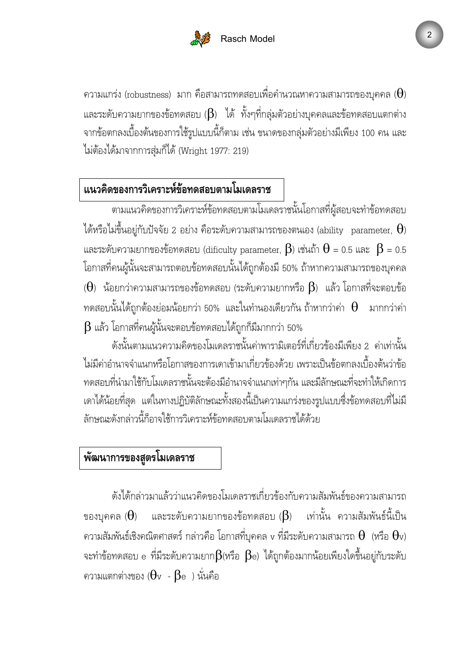

ความแกร่ง (robustness) มาก คือสามารถทดสอบเพื่อคำนวณหาความสามารถของบุคคล ( $\Theta$ ) และระดับความยากของข้อทดสอบ ( $\beta$ ) ได้ ทั้งๆที่กลุ่มตัวอย่างบุคคลและข้อทดสอบแตกต่าง จากข้อตกลงเบื้องต้นของการใช้รูปแบบนี้ก็ตาม เช่น ขนาดของกลุ่มตัวอย่างมีเพียง 100 คน และ ไม่ต้องได้มาจากการสุ่มก็ได้ (Wright 1977: 219)

## แนวคิดของการวิเคราะห์ข้อทดสอบตามโมเดลราช

ตามแนวคิดของการวิเคราะห์ข้อทดสอบตามโมเดลราชนั้นโอกาสที่ผู้สอบจะทำข้อทดสอบ ได้หรือไม่ขึ้นอยู่กับปัจจัย 2 อย่าง คือระดับความสามารถของตนเอง (ability  $\,$  parameter,  $\,\Theta$ )  $\,$ และระดับความยากของข้อทดสอบ (dificulty parameter,  $\bm{\beta}$ ) เช่นถ้า  $\bm{\theta}$  = 0.5 และ  $\,\bm{\beta}$  = 0.5 โอกาสที่คนผู้นั้นจะสามารถตอบข้อทดสอบนั้นได้ถูกต้องมี 50% ถ้าหากความสามารถของบุคคล  $(\pmb{\Theta})$  น้อยกว่าความสามารถของข้อทดสอบ (ระดับความยากหรือ  $\pmb{\beta}$ ) แล้ว โอกาสที่จะตอบข้อ ทดสอบนั้นได้ถูกต้องย่อมน้อยกว่า 50% และในทำนองเดียวกัน ถ้าหากว่าค่า  $\Theta$  มากกว่าค่า  $\beta$  แล้ว โอกาสที่คนผู้นั้นจะตอบข้อทดสอบได้ถูกก็มีมากกว่า 50%

ดังนั้นตามแนวความคิดของโมเดลราชนั้นค่าพารามิเตอร์ที่เกี่ยวข้องมีเพียง 2 ค่าเท่านั้น ไม่มีค่าอำนาจจำแนกหรือโอกาสของการเดาเข้ามาเกี่ยวข้องด้วย เพราะเป็นข้อตกลงเบื้องต้นว่าข้อ ทดสอบที่นำมาใช้กับโมเดลราชนั้นจะต้องมีอำนาจจำแนกเท่าๆกัน และมีลักษณะที่จะทำให้เกิดการ เดาได้น้อยที่สุด แต่ในทางปฏิบัติลักษณะทั้งสองนี้เป็นความแกร่งของรูปแบบซึ่งข้อทดสอบที่ไม่มี ลักษณะดังกล่าวนี้ก็อาจใช้การวิเคราะห์ข้อทดสอบตามโมเดลราชได้ด้วย

#### พัฒนาการของสูตรโมเดลราช

ดังได้กล่าวมาแล้วว่าแนวคิดของโมเดลราชเกี่ยวข้องกับความสัมพันธ์ของความสามารถ ของบุคคล ( $\Theta$ ) และระดับความยากของข้อทดสอบ ( $\beta$ ) เท่านั้น ความสัมพันธ์นี้เป็น ความสัมพันธ์เชิงคณิตศาสตร์ กล่าวคือ โอกาสที่บุคคล v ที่มีระดับความสามารถ  $\Theta$  (หรือ  $\Theta$ v)  $\,$ จะทำข้อทดสอบ e ที่มีระดับความยาก $\beta$ (หรือ  $\,\beta$ e) ได้ถูกต้องมากน้อยเพียงใดขึ้นอยู่กับระดับ ความแตกต่างของ ( $\theta$ v -  $\beta$ e ) นั่นคือ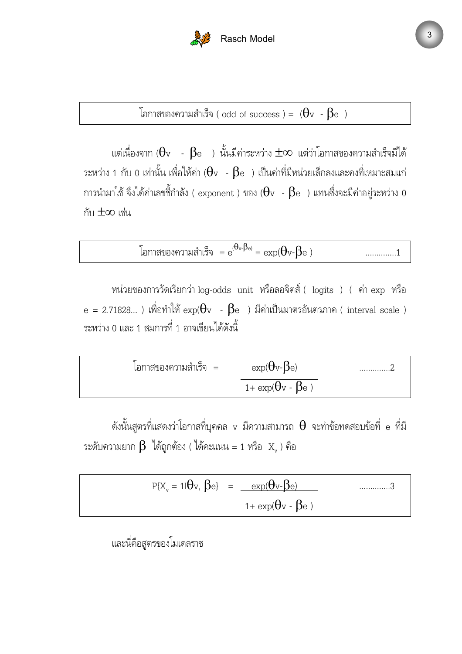

โอกาสของความสำเร็จ ( odd of success ) =  $(\theta_{\rm v}$  -  $\beta_{\rm e}$  )

แต่เนื่องจาก ( $\Theta_{\rm v}$  -  $\,\beta_{\rm e}$  ) นั้นมีค่าระหว่าง  $\pm\infty$  แต่ว่าโอกาสของความสำเร็จมีได้ ระหว่าง 1 กับ 0 เท่านั้น เพื่อให้ค่า ( $\theta$ v -  $\beta$ e ) เป็นค่าที่มีหน่วยเล็กลงและคงที่เหมาะสมแก่ การนำมาใช้ จึงได้ค่าเลขชี้กำลัง ( exponent ) ของ ( $\theta$ v -  $\beta$ e ) แทนซึ่งจะมีค่าอยู่ระหว่าง 0 กับ $\pm\infty$  เช่น

โอกาสของความสำเร็จ 
$$
= e^{(\theta_v, \beta_e)} = \exp(\theta_v - \beta_e)
$$
 ............1

หน่วยของการวัดเรียกว่า log-odds unit หรือลอจิตส์ ( logits ) ( ค่า exp หรือ  ${\rm e}$  = 2.71828... ) เพื่อทำให้  ${\rm exp}(\Theta {\rm v}~$  -  $\beta {\rm e}~$  ) มีค่าเป็นมาตรอันตรภาค ( interval scale ) ระหว่าง 0 และ 1 สมการที่ 1 อาจเขียนได้ดังนี้

$$
\boxed{\text{ิ
$$
ถูกสของความสำเร็จ = \frac{exp(\theta v - \beta e)}{1 + exp(\theta v - \beta e)} \dots 2

ดังนั้นสูตรที่แสดงว่าโอกาสที่บุคคล v มีความสามารถ  $\theta$  จะทำข้อทดสอบข้อที่ e ที่มี ระดับความยาก  $\beta$  ได้ถูกต้อง ( ได้คะแนน = 1 หรือ  $\text{ }{\rm X}_{{}_{\rm v}}$  ) คือ

 P{X<sup>v</sup> = 1lθv, βe} = exp(θv-βe) gggg..3 1+ exp(θv - βe )

และนี่คือสูตรของโมเดลราช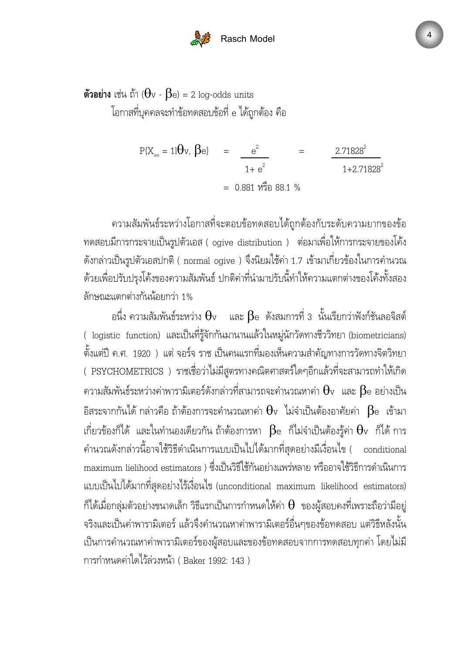# **Rasch Model**

ด้วอย่าง เช่น ถ้า ( $\theta$ v -  $\beta$ e) = 2 log-odds units โอกาสที่บุคคลจะทำข้อทดสอบข้อที่ e ได้ถูกต้อง คือ

$$
P{Xve = 11} \Theta v, \beta e
$$
  
=  $\frac{e^{2}}{1 + e^{2}}$   
= 0.881 %<sup>2</sup> 88.1 %

ความสัมพันธ์ระหว่างโอกาสที่จะตอบข้อทดสอบได้ถูกต้องกับระดับความยากของข้อ ทดสอบมีการกระจายเป็นรูปตัวเอส ( ogive distribution ) ต่อมาเพื่อให้การกระจายของโค้ง ดังกล่าวเป็นรูปตัวเอสปกติ ( normal ogive ) จึงนิยมใช้ค่า 1.7 เข้ามาเกี่ยวข้องในการคำนวณ ด้วยเพื่อปรับปรุงโค้งของความสัมพันธ์ ปกติค่าที่นำมาปรับนี้ทำให้ความแตกต่างของโค้งทั้งสอง ลักษณะแตกต่างกันน้อยกว่า 1%

อนึ่ง ความสัมพันธ์ระหว่าง  $\Theta_{\mathtt{v}}$  และ  $\beta$ e ดังสมการที่ 3 นั้นเรียกว่าฟังก์ชันลอจิสต์ ( logistic function) และเป็นที่รู้จักกันมานานแล้วในหมู่นักวัดทางชีววิทยา (biometricians) ตั้งแต่ปี ค.ศ. 1920 ) แต่ จอร์จ ราช เป็นคนแรกที่มองเห็นความสำคัญทางการวัดทางจิตวิทยา ( PSYCHOMETRICS ) ราชเชื่อว่าไม่มีสูตรทางคณิตศาสตร์ใดๆอีกแล้วที่จะสามารถทำให้เกิด ความสัมพันธ์ระหว่างค่าพารามิเตอร์ดังกล่าวที่สามารถจะคำนวณหาค่า  $\theta$ v และ  $\beta$ e อย่างเป็น อิสระจากกันได้ กล่าวคือ ถ้าต้องการจะคำนวณหาค่า  $\theta$ v ไม่จำเป็นต้องอาศัยค่า  $\beta$ e เข้ามา เกี่ยวข้องก็ได้ และในทำนองเดียวกัน ถ้าต้องการหา  $\beta$ e ก็ไม่จำเป็นต้องรู้ค่า  $\Theta$ v ก็ได้ การ คำนวณดังกล่าวนี้อาจใช้วิธีดำเนินการแบบเป็นไปได้มากที่สุดอย่างมีเงื่อนไข ( conditional maximum lielihood estimators ) ซึ่งเป็นวิธีใช้กันอย่างแพร่หลาย หรืออาจใช้วิธีการดำเนินการ แบบเป็นไปได้มากที่สุดอย่างไร้เงื่อนไข (unconditional maximum likelihood estimators) ก็ได้เมื่อกลุ่มตัวอย่างขนาดเล็ก วิธีแรกเป็นการกำหนดให้ค่า  $\theta$  ของผู้สอบคงที่เพราะถือว่ามีอยู่ จริงและเป็นค่าพารามิเตอร์ แล้วจึงคำนวณหาค่าพารามิเตอร์อื่นๆของข้อทดสอบ แต่วิธีหลังนั้น เป็นการคำนวณหาค่าพารามิเตอร์ของผู้สอบและของข้อทดสอบจากการทดสอบทุกค่า โดยไม่มี การกำหนดค่าใดไว้ล่วงหน้า ( Baker 1992: 143 )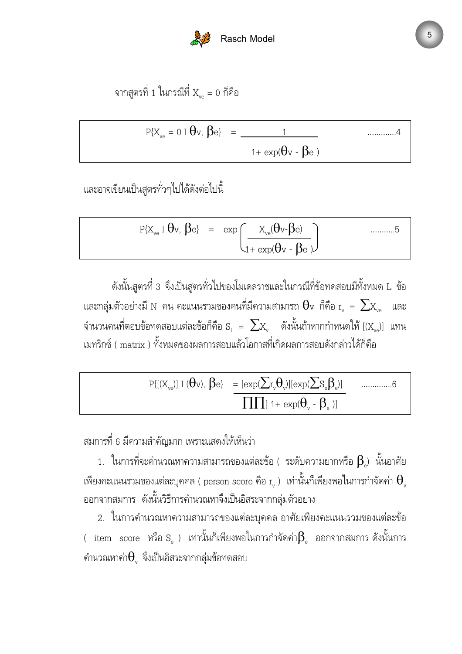

จากสูตรที่ 1 ในกรณีที่  $X_{\text{v}_e} = 0$  ก็คือ

$$
P\{X_{ve} = 0 \mid \theta_v, \beta_e\} = \frac{1}{1 + \exp(\theta_v - \beta_e)}
$$
 .......4

และอาจเขียนเป็นสูตรทั่วๆไปได้ดังต่อไปนี้

$$
P\{X_{ve} \mid \theta v, \beta e\} = \exp\left(\frac{X_{ve}(\theta v - \beta e)}{1 + \exp(\theta v - \beta e)}\right) \qquad \qquad \dots \dots \dots 5
$$

ดังนั้นสูตรที่ 3 จึงเป็นสูตรทั่วไปของโมเดลราชและในกรณีที่ข้อทดสอบมีทั้งหมด L ข้อ และกลุ่มตัวอย่างมี N คน คะแนนรวมของคนที่มีความสามารถ  $\Theta$ v ก็คือ  $_{\rm r_{\rm v}}$   $\,=\,\sum_{\rm X_{\rm ve}}$  และ จำนวนคนที่ตอบข้อทดสอบแต่ละข้อก็คือ  $\rm S_i ~ = ~ \sum \rm X_{v} ~ ~$  ดังนั้นถ้าหากกำหนดให้ [( $\rm X_{ve}$ )] แทน เมทริกซ์ ( matrix ) ทั้งหมดของผลการสอบแล้วโอกาสที่เกิดผลการสอบดังกล่าวได้ก็คือ

 P{[(Xve)] l (θv), βe} = [exp(∑r vθv )][exp(∑Seβ<sup>e</sup> )] gggg..6 ∏∏[ 1+ exp(θ<sup>v</sup> - β<sup>e</sup> )]

สมการที่ 6 มีความสำคัญมาก เพราะแสดงให้เห็นว่า

1. ในการที่จะคำนวณหาความสามารถของแต่ละข้อ ( ระดับความยากหรือ  $\boldsymbol{\beta_\text{e}}$ ) นั้นอาศัย เพียงคะแนนรวมของแต่ละบุคคล ( person score คือ r $_{\rm v}$  ) เท่านั้นก็เพียงพอในการกำจัดค่า  $\Theta_{\rm v}$ ออกจากสมการ ดังนั้นวิธีการคำนวณหาจึงเป็นอิสระจากกลุ่มตัวอย่าง

2. ในการคำนวณหาความสามารถของแต่ละบุคคล อาศัยเพียงคะแนนรวมของแต่ละข้อ ( item  $_{\rm{score}}$  หรือ $_{\rm{s}}$  ) เท่านั้นก็เพียงพอในการกำจัดค่า $\beta_{\rm{e}}$  ออกจากสมการ $\,$ ดังนั้นการ คำนวณหาค่า $\Theta_{\tiny v}$  จึงเป็นอิสระจากกลุ่มข้อทดสอบ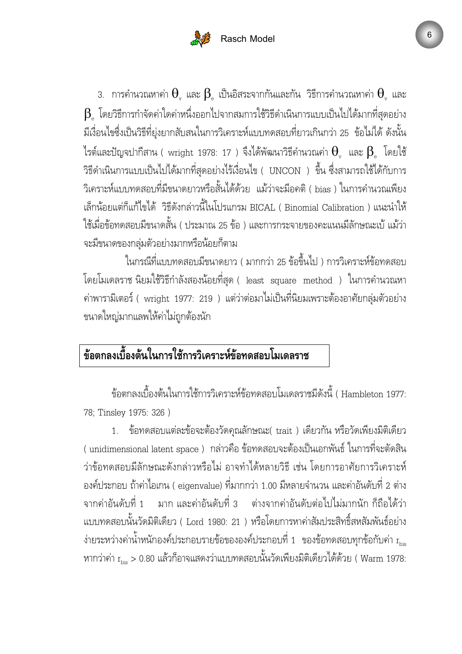# **Rasch Model**

3. การคำนวณหาค่า  $\Theta_{\tiny v}$  และ  $\Theta_{\tiny e}$  เป็นอิสระจากกันและกัน วิธีการคำนวณหาค่า  $\Theta_{\tiny v}$  และ  $\boldsymbol{\beta}$  โดยวิธีการกำจัดค่าใดค่าหนึ่งออกไปจากสมการใช้วิธีดำเนินการแบบเป็นไปได้มากที่สุดอย่าง มีเงื่อนไขซึ่งเป็นวิธีที่ยุ่งยากสับสนในการวิเคราะห์แบบทดสอบที่ยาวเกินกว่า 25 ข้อไม่ได้ ดังนั้น ไรต์และปัญจปากีสาน ( wright 1978: 17 ) จึงได้พัฒนาวิธีคำนวณค่า  $\Theta_{_{\mathrm{v}}}$  และ  $\mathsf{B}_{_{\mathrm{e}}}$  โดยใช้ วิธีดำเนินการแบบเป็นไปได้มากที่สุดอย่างไร้เงื่อนไข ( UNCON ) ขึ้น ซึ่งสามารถใช้ได้กับการ วิเคราะห์แบบทดสอบที่มีขนาดยาวหรือสั้นได้ด้วย แม้ว่าจะมีอคติ ( bias ) ในการคำนวณเพียง เล็กน้อยแต่ก็แก้ไขได้ วิธีดังกล่าวนี้ในโปรแกรม BICAL ( Binomial Calibration ) แนะนำให้ ใช้เมื่อข้อทดสอบมีขนาดสั้น ( ประมาณ 25 ข้อ ) และการกระจายของคะแนนมีลักษณะเบ้ แม้ว่า จะมีขนาดของกลุ่มตัวอย่างมากหรือน้อยก็ตาม

ในกรณีที่แบบทดสอบมีขนาดยาว ( มากกว่า 25 ข้อขึ้นไป ) การวิเคราะห์ข้อทดสอบ โดยโมเดลราช นิยมใช้วิธีกำลังสองน้อยที่สุด ( least square method ) ในการคำนวณหา ี ค่าพารามิเตอร์ ( wright 1977: 219 ) แต่ว่าต่อมาไม่เป็นที่นิยมเพราะต้องอาศัยกลุ่มตัวอย่าง ขนาดใหญ่มากแลพให้ค่าไม่ถูกต้องนัก

# ข้อตกลงเบื้องต้นในการใช้การวิเคราะห์ข้อทดสอบโมเดลราช

ข้อตกลงเบื้องต้นในการใช้การวิเคราะห์ข้อทดสอบโมเดลราชมีดังนี้ ( Hambleton 1977: 78; Tinsley 1975: 326 )

1. ข้อทดสอบแต่ละข้อจะต้องวัดคุณลักษณะ( trait ) เดียวกัน หรือวัดเพียงมิติเดียว ( unidimensional latent space ) กล่าวคือ ข้อทดสอบจะต้องเป็นเอกพันธ์ ในการที่จะตัดสิน ว่าข้อทดสอบมีลักษณะดังกล่าวหรือไม่ อาจทำได้หลายวิธี เช่น โดยการอาศัยการวิเคราะห์ องค์ประกอบ ถ้าค่าไอเกน ( eigenvalue) ที่มากกว่า 1.00 มีหลายจำนวน และค่าอันดับที่ 2 ต่าง จากค่าอันดับที่ 1 มาก และค่าอันดับที่ 3 ต่างจากค่าอันดับต่อไปไม่มากนัก ก็ถือได้ว่า แบบทดสอบนั้นวัดมิติเดียว ( Lord 1980: 21 ) หรือโดยการหาค่าสัมประสิทธิ์สหสัมพันธ์อย่าง ง่ายระหว่างค่าน้ำหนักองค์ประกอบรายข้อขององค์ประกอบที่ 1 ของข้อทดสอบทุกข้อกับค่า  $\rm r_{\rm bis}$ หากว่าค่า r $_{\rm bis} >$  0.80 แล้วก็อาจแสดงว่าแบบทดสอบนั้นวัดเพียงมิติเดียวได้ด้วย ( Warm 1978: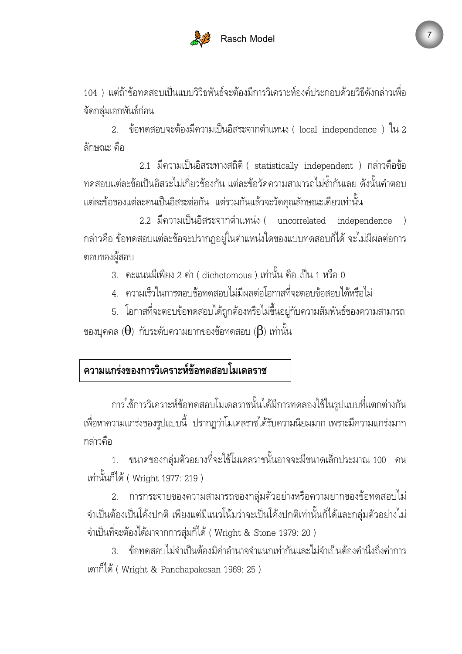

104 ) แต่ถ้าข้อทดสอบเป็นแบบวิวิธพันธ์จะต้องมีการวิเคราะห์องค์ประกอบด้วยวิธีดังกล่าวเพื่อ จัดกลุ่มเอกพันธ์์ก่อน

2. ข้อทดสอบจะต้องมีความเป็นอิสระจากตำแหน่ง ( local independence ) ใน 2 ลักษณะ คือ

 $2.1$  มีความเป็นอิสระทางสถิติ ( statistically independent ) กล่าวคือข้อ ทดสอบแต่ละข้อเป็นอิสระไม่เกี่ยวข้องกัน แต่ละข้อวัดความสามารถไม่ซ้ำกันเลย ดังนั้นคำตอบ แต่ละข้อของแต่ละคนเป็นอิสระต่อกัน แต่รวมกันแล้วจะวัดคุณลักษณะเดียวเท่านั้น

2.2 มีความเป็นอิสระจากตำแหน่ง( uncorrelated independence ) กล่าวคือ ข้อทดสอบแต่ละข้อจะปรากฏอยู่ในตำแหน่งใดของแบบทดสอบก็ได้ จะไม่มีผลต่อการ ตอบของผู้สอบ

- 3. คะแนนมีเพียง 2 ค่า ( dichotomous ) เท่านั้น คือ เป็น 1 หรือ 0
- 4. ความเร็วในการตอบข้อทดสอบไม่มีผลต่อโอกาสที่จะตอบข้อสอบได้หรือไม่
- 5. โอกาสที่จะตอบข้อทดสอบได้ถูกต้องหรือไม่ขึ้นอยู่กับความสัมพันธ์ของความสามารถ ของบุคคล ( $\Theta$ ) กับระดับความยากของข้อทดสอบ ( $\beta$ ) เท่านั้น

## ความแกร่งของการวิเคราะห์ข้อทดสอบโมเดลราช

การใช้การวิเคราะห์ข้อทดสอบโมเดลราชนั้นได้มีการทดลองใช้ในรูปแบบที่แตกต่างกัน เพื่อหาความแกร่งของรูปแบบนี้ ปรากฏว่าโมเดลราชได้รับความนิยมมาก เพราะมีความแกร่งมาก กล่าวคือ

1. ขนาดของกลุ่มตัวอย่างที่จะใช้โมเดลราชนั้นอาจจะมีขนาดเล็กประมาณ 100 คน เท่านั้นก็ได้ ( Wright 1977: 219 )

2. การกระจายของความสามารถของกลุ่มตัวอย่างหรือความยากของข้อทดสอบไม่ จำเป็นต้องเป็นโค้งปกติ เพียงแต่มีแนวโน้มว่าจะเป็นโค้งปกติเท่านั้นก็ได้และกลุ่มตัวอย่างไม่ จำเป็นที่จะต้องได้มาจากการสุ่มก็ได้ ( Wright & Stone 1979: 20 )

3. ข้อทดสอบไม่จำเป็นต้องมีค่าอำนาจจำแนกเท่ากันและไม่จำเป็นต้องคำนึงถึงค่าการ เดาก็ได้ ( Wright & Panchapakesan 1969: 25 )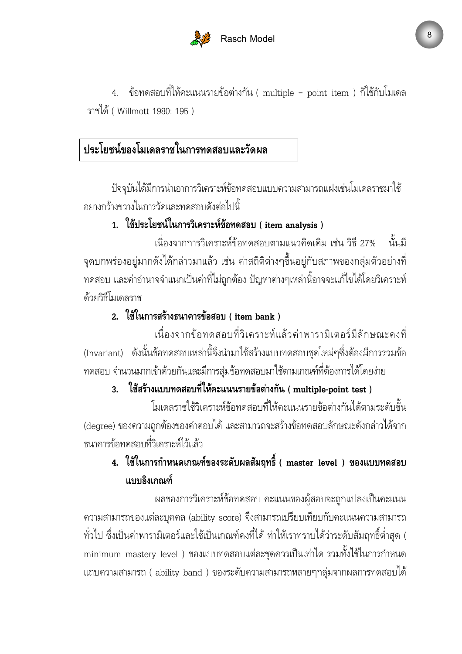

4. ข้อทดสอบที่ให้คะแนนรายข้อต่างกัน ( multiple – point item ) ก็ใช้กับโมเดล ราชได้ ( Willmott 1980: 195 )

# ประโยชน์ของโมเดลราชในการทดสอบและวัดผล

ปัจจุบันได้มีการนำเอาการวิเคราะห์ข้อทดสอบแบบความสามารถแฝงเช่นโมเดลราชมาใช้ อย่างกว้างขวางในการวัดและทดสอบดังต่อไปนี้

## 1. ใช้ประโยชน์ในการวิเคราะห์ข้อทดสอบ ( item analysis )

เนื่องจากการวิเคราะห์ข้อทดสอบตามแนวคิดเดิม เช่น วิธี 27% นั้นมี จุดบกพร่องอยู่มากดังได้กล่าวมาแล้ว เช่น ค่าสถิติต่างๆขึ้นอยู่กับสภาพของกลุ่มตัวอย่างที่ ทดสอบ และค่าอำนาจจำแนกเป็นค่าที่ไม่ถูกต้อง ปัญหาต่างๆเหล่านี้อาจจะแก้ไขได้โดยวิเคราะห์ ด้วยวิธีโมเดลราช

#### 2. ใช้ในการสร้างธนาคารข้อสอบ ( item bank )

เนื่องจากข้อทดสอบที่วิเคราะห์แล้วค่าพารามิเตอร์มีลักษณะคงที่ (Invariant) ดังนั้นข้อทดสอบเหล่านี้จึงนำมาใช้สร้างแบบทดสอบชุดใหม่ๆซึ่งต้องมีการรวมข้อ ทดสอบ จำนวนมากเข้าด้วยกันและมีการสุ่มข้อทดสอบมาใช้ตามเกณฑ์ที่ต้องการได้โดยง่าย

## 3. ใช้สร้างแบบทดสอบที่ให้คะแนนรายข้อต่างกัน ( multiple-point test )

โมเดลราชใช้วิเคราะห์ข้อทดสอบที่ให้คะแนนรายข้อต่างกันได้ตามระดับขั้น (degree) ของความถูกต้องของคำตอบได้ และสามารถจะสร้างข้อทดสอบลักษณะดังกล่าวได้จาก ธนาคารข้อทดสอบที่วิเคราะห์ไว้แล้ว

## 4. ใช้ในการกำหนดเกณฑ์ของระดับผลสัมฤทธิ์ ( master level ) ของแบบทดสอบ แบบอิงเกณฑ์

ผลของการวิเคราะห์ข้อทดสอบ คะแนนของผู้สอบจะถูกแปลงเป็นคะแนน ิ ความสามารถของแต่ละบุคคล (ability score) จึงสามารถเปรียบเทียบกับคะแนนความสามารถ ทั่วไป ซึ่งเป็นค่าพารามิเตอร์และใช้เป็นเกณฑ์คงที่ได้ ทำให้เราทราบได้ว่าระดับสัมฤทธิ์ต่ำสุด ( minimum mastery level ) ของแบบทดสอบแต่ละชุดควรเป็นเท่าใด รวมทั้งใช้ในการกำหนด แถบความสามารถ ( ability band ) ของระดับความสามารถหลายๆกลุ่มจากผลการทดสอบได้ @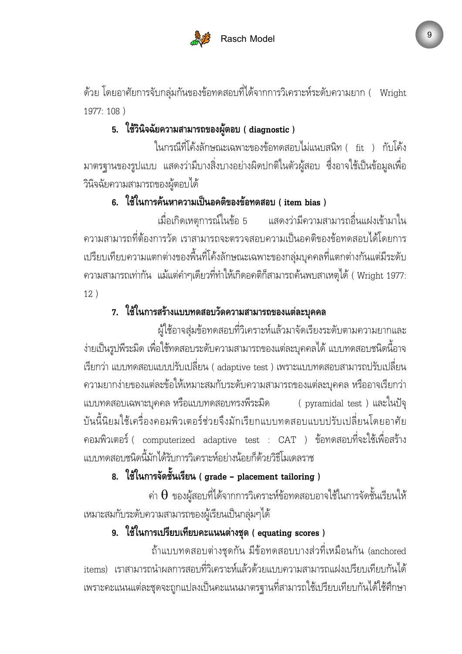

ด้วย โดยอาศัยการจับกลุ่มกันของข้อทดสอบที่ได้จากการวิเคราะห์ระดับความยาก ( Wright 1977: 108 )

## 5. ใช้วินิจฉัยความสามารถของผู้ตอบ ( diagnostic )

ในกรณีที่โค้งลักษณะเฉพาะของข้อทดสอบไม่แนบสนิท ( fit ) กับโค้ง มาตรฐานของรูปแบบ แสดงว่ามีบางสิ่งบางอย่างผิดปกติในตัวผู้สอบ ซึ่งอาจใช้เป็นข้อมูลเพื่อ วินิจฉัยความสามารถของผู้ตอบได้

#### 6. ใช้ในการค้นหาความเป็นอคติของข้อทดสอบ ( item bias )

เมื่อเกิดเหตุการณ์ในข้อ 5 แสด ่ แสดงว่ามีความสามารถอื่นแฝงเข้ามาใน ความสามารถที่ต้องการวัด เราสามารถจะตรวจสอบความเป็นอคติของข้อทดสอบได้โดยการ เปรียบเทียบความแตกต่างของพื้นที่โค้งลักษณะเฉพาะของกลุ่มบุคคลที่แตกต่างกันแต่มีระดับ ความสามารถเท่ากัน แม้แต่คำๆเดียวที่ทำให้เกิดอคติก็สามารถค้นพบสาเหตุได้ ( Wright 1977: 12 )

### 7. ใช้ในการสร้างแบบทดสอบวัดความสามารถของแต่ละบุคคล

ผู้ใช้อาจสุ่มข้อทดสอบที่วิเคราะห์แล้วมาจัดเรียงระดับตามความยากและ ง่ายเป็นรูปพีระมิด เพื่อใช้ทดสอบระดับความสามารถของแต่ละบุคคลได้ แบบทดสอบชนิดนี้อาจ เรียกว่า แบบทดสอบแบบปรับเปลี่ยน ( adaptive test ) เพราะแบบทดสอบสามารถปรับเปลี่ยน ความยากง่ายของแต่ละข้อให้เหมาะสมกับระดับความสามารถของแต่ละบุคคล หรืออาจเรียกว่า แบบทดสอบเฉพาะบุคคล หรือแบบทดสอบทรงพีระมิด ( pyramidal test ) และในปัจุ บันนี้นิยมใช้เครื่องคอมพิวเตอร์ช่วยจึงมักเรียกแบบทดสอบแบบปรับเปลี่ยนโดยอาศัย คอมพิวเตอร์ ( computerized adaptive test : CAT ) ข้อทดสอบที่จะใช้เพื่อสร้าง แบบทดสอบชนิดนี้มักได้รับการวิเคราะห์อย่างน้อยก็ด้วยวิธีโมเดลราช

## 8. ใช้ในการจัดชั้นเรียน ( grade - placement tailoring )

ค่า  $\Theta$  ของผู้สอบที่ได้จากการวิเคราะห์ข้อทดสอบอาจใช้ในการจัดชั้นเรียนให้ เหมาะสมกับระดับความสามารถของผู้เรียนเป็นกลุ่มๆได้

#### 9. ใช้ในการเปรียบเทียบคะแนนต่างชุด ( equating scores )

ถ้าแบบทดสอบต่างชุดกัน มีข้อทดสอบบางส่วที่เหมือนกัน (anchored items) เราสามารถนำผลการสอบที่วิเคราะห์แล้วด้วยแบบความสามารถแฝงเปรียบเทียบกันได้ เพราะคะแนนแต่ละชุดจะถูกแปลงเป็นคะแนนมาตรฐานที่สามารถใช้เปรียบเทียบกันได้ใช้ศึกษา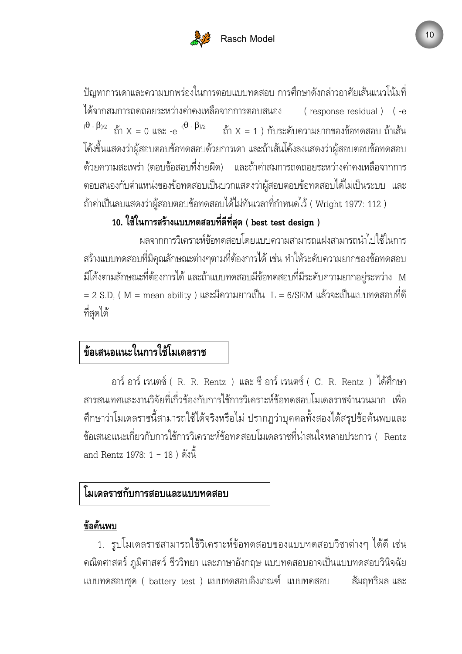

ปัญหาการเดาและความบกพร่องในการตอบแบบทดสอบ การศึกษาดังกล่าวอาศัยเส้นแนวโน้มที่ ใด้จากสมการถดถอยระหว่างค่าคงเห (response residual) (-e  $^{(\boldsymbol{\Theta} \; \cdot \; \boldsymbol{\beta})$ /2  $\;$  ถ้า  $\rm X = 0$  และ -e  $^{-(\boldsymbol{\Theta} \; \cdot \; \boldsymbol{\beta})$ /2  $\;$  ถ้า  $\rm X = 1$  ) กับระดับความยากของข้อทดสอบ ถ้าเส้น โค้งขึ้นแสดงว่าผู้สอบตอบข้อทดสอบด้วยการเดา และถ้าเส้นโค้งลงแสดงว่าผู้สอบตอบข้อทดสอบ ด้วยความสะเพร่า (ตอบข้อสอบที่ง่ายผิด ) และถ้าค่าสมการถดถอยระหว่างค่าคงเหลือจากการ ตอบสนองกับตำแหน่งของข้อทดสอบเป็นบวกแสดงว่าผู้สอบตอบข้อทดสอบได้ไม่เป็นระบบ และ ถ้าค่าเป็นลบแสดงว่าผู้สอบตอบข้อทดสอบได้ไม่ทันเวลาที่กำหนดไว้ ( Wright 1977: 112 )

## 10. ใช้ในการสร้างแบบทดสอบที่ดีที่สุด ( best test design )

ผลจากการวิเคราะห์ข้อทดสอบโดยแบบความสามารถแฝงสามารถนำไปใช้ในการ สร้างแบบทดสอบที่มีคุณลักษณะต่างๆตามที่ต้องการได้ เช่น ทำให้ระดับความยากของข้อทดสอบ มีโค้งตามลักษณะที่ต้องการได้ และถ้าแบบทดสอบมีข้อทดสอบที่มีระดับความยากอยู่ระหว่าง M  $=$  2 S.D, (  ${\rm M}$  = mean ability ) และมีความยาวเป็น  ${\rm ~L}$  = 6/SEM แล้วจะเป็นแบบทดสอบที่ดี ที่สุดได้

# ข้อเสนอแนะในการใช้โมเดลราช

อาร์ อาร์ เรนตซ์์ ( R. R. Rentz ) และ ซี อาร์ เรนตซ์์ ( C. R. Rentz ) ได้ศึกษา สารสนเทศและงานวิจัยที่เกี่วข้องกับการใช้การวิเคราะห์ข้อทดสอบโมเดลราชจำนวนมาก เพื่อ ศึกษาว่าโมเดลราชนี้สามารถใช้ได้จริงหรือไม่ ปรากฏว่าบุคคลทั้งสองได้สรุปข้อค้นพบและ ข้อเสนอแนะเกี่ยวกับการใช้การวิเคราะห์ข้อทดสอบโมเดลราชที่น่าสนใจหลายประการ( Rentz and Rentz 1978: 1 – 18 ) ดังนี้

#### โมเดลราชกับการสอบและแบบทดสอบ

#### ข้อค้นพบ

1. รูปโมเดลราชสามารถใช้วิเคราะห์ข้อทดสอบของแบบทดสอบวิชาต่างๆ ได้ดี เช่น คณิตศาสตร์ ภูมิศาสตร์ ชีววิทยา และภาษาอังกฤษ แบบทดสอบอาจเป็นแบบทดสอบวินิจฉัย แบบทดสอบชุด ( battery test ) แบบทดสอบอิงเกณฑ์ แบบทด สัมฤทธิผล และ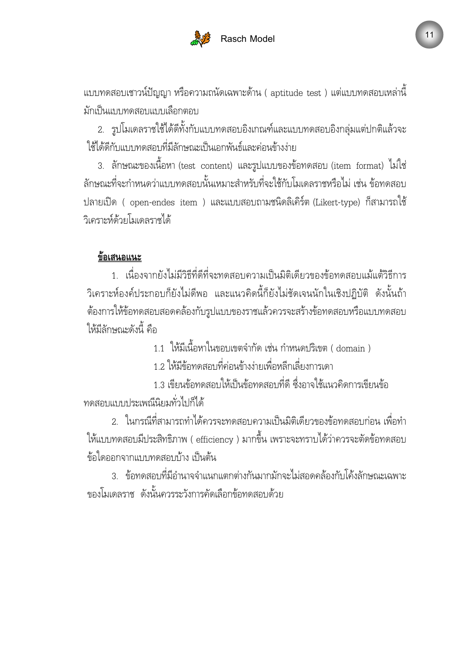

แบบทดสอบเชาวน์์ปัญญา หรือความถนัดเฉพาะด้าน ( aptitude test ) แต่แบบทดสอบเหล่านี้ มักเป็นแบบทดสอบแบบเลือกตอบ

2. รูปโมเดลราชใช้ได้ดีทั้งกับแบบทดสอบอิงเกณฑ์และแบบทดสอบอิงกลุ่มแต่ปกติแล้วจะ ใช้ได้ดีกับแบบทดสอบที่มีลักษณะเป็นเอกพันธ์และค่อนข้างง่าย

3. ลักษณะของเนื้อหา(test content)และรูปแบบของข้อทดสอบ(item format)ไม่ใช่ ลักษณะที่จะกำหนดว่าแบบทดสอบนั้นเหมาะสำหรับที่จะใช้กับโมเดลราชหรือไม่ เช่น ข้อทดสอบ ปลายเปิด ( open-endes item ) และแบบสอบถามชนิดลิเคิร์ต (Likert-type) ก็สามารถใช้ วิเคราะห์ด้วยโมเดลราชได้

#### ข้อเสนอแนะ

1. เนื่องจากยังไม่มีวิธีที่ดีที่จะทดสอบความเป็นมิติเดียวของข้อทดสอบแม้แต้วิธีการ วิเคราะห์องค์ประกอบก็ยังไม่ดีพอ และแนวคิดนี้ก็ยังไม่ชัดเจนนักในเชิงปฏิบัติ ดังนั้นถ้า ต้องการให้ข้อทดสอบสอดคล้องกับรูปแบบของราชแล้วควรจะสร้างข้อทดสอบหรือแบบทดสอบ ให้มีลักษณะดังนี้ คือ

1.1 ให้มีเนื้อหาในขอบเขตจำกัด เช่น กำหนดปริเขต ( domain )

1.2 ให้มีข้อทดสอบที่ค่อนข้างง่ายเพื่อหลีกเลี่ยงการเดา

1.3 เขียนข้อทดสอบให้เป็นข้อทดสอบที่ดี ซึ่งอาจใช้แนวคิดการเขียนข้อ ทดสอบแบบประเพณีนิยมทั่วไปก็ได้

2. ในกรณีที่สามารถทำได้ควรจะทดสอบความเป็นมิติเดียวของข้อทดสอบก่อน เพื่อทำ ให้แบบทดสอบมีประสิทธิภาพ ( efficiency ) มากขึ้น เพราะจะทราบได้ว่าควรจะตัดข้อทดสอบ ข้อใดออกจากแบบทดสอบบ้าง เป็นต้น

3. ข้อทดสอบที่มีอำนาจจำแนกแตกต่างกันมากมักจะไม่สอดคล้องกับโค้งลักษณะเฉพาะ ของโมเดลราช ดังนั้นควรระวังการคัดเลือกข้อทดสอบด้วย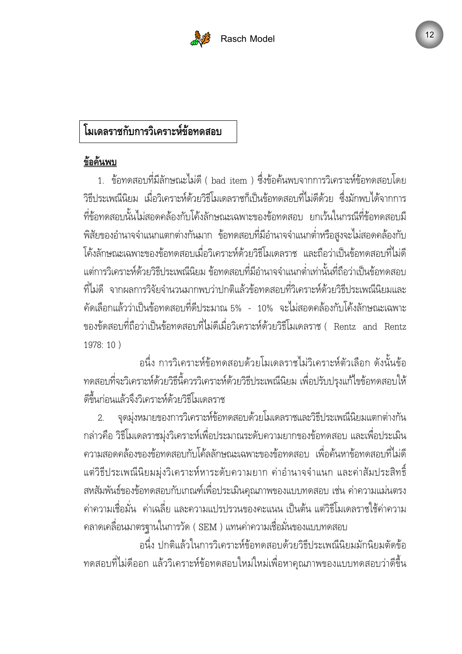

# โมเดลราชกับการวิเคราะห์ข้อทดสอบ

#### ข้อค้นพบ

1. ข้อทดสอบที่มีลักษณะไม่ดี ( bad item ) ซึ่งข้อค้นพบจากการวิเคราะห์ข้อทดสอบโดย วิธีประเพณีนิยม เมื่อวิเคราะห์ด้วยวิธีโมเดลราชก็เป็นข้อทดสอบที่ไม่ดีด้วย ซึ่งมักพบได้จากการ ที่ข้อทดสอบนั้นไม่สอดคล้องกับโค้งลักษณะเฉพาะของข้อทดสอบ ยกเว้นในกรณีที่ข้อทดสอบมี พิสัยของอำนาจจำแนกแตกต่างกันมาก ข้อทดสอบที่มีอำนาจจำแนกต่ำหรือสูงจะไม่สอดคล้องกับ โค้งลักษณะเฉพาะของข้อทดสอบเมื่อวิเคราะห์ด้วยวิธีโมเดลราช และถือว่าเป็นข้อทดสอบที่ไม่ดี แต่การวิเคราะห์ด้วยวิธีประเพณีนิยม ข้อทดสอบที่มีอำนาจจำแนกต่ำเท่านั้นที่ถือว่าเป็นข้อทดสอบ ที่ไม่ดี จากผลการวิจัยจำนวนมากพบว่าปกติแล้วข้อทดสอบที่วิเคราะห์ด้วยวิธีประเพณีนิยมและ คัดเลือกแล้วว่าเป็นข้อทดสอบที่ดีประมาณ 5% - 10% จะไม่สอดคล้องกับโค้งลักษณะเฉพาะ ของขัดสอบที่ถือว่าเป็นข้อทดสอบที่ไม่ดีเมื่อวิเคราะห์ด้วยวิธีโมเดลราช ( Rentz and Rentz 1978: 10 )

อนึ่ง การวิเคราะห์ข้อทดสอบด้วยโมเดลราชไม่วิเคราะห์ตัวเลือก ดังนั้นข้อ ทดสอบที่จะวิเคราะห์ด้วยวิธีนี้ควรวิเคราะห์ด้วยวิธีประเพณีนิยม เพื่อปรับปรุงแก้ไขข้อทดสอบให้ ดีขึ้นก่อนแล้วจึงวิเคราะห์ด้วยวิธีโมเดลราช

2. จุดมุ่งหมายของการวิเคราะห์ข้อทดสอบด้วยโมเดลราชและวิธีประเพณีนิยมแตกต่างกัน กล่าวคือ วิธีโมเดลราชมุ่งวิเคราะห์เพื่อประมาณระดับความยากของข้อทดสอบ และเพื่อประเมิน ความสอดคล้องของข้อทดสอบกับโค้ลลักษณะเฉพาะของข้อทดสอบ เพื่อค้นหาข้อทดสอบที่ไม่ดี แต่วิธีประเพณีนิยมมุ่งวิเคราะห์หาระดับความยาก ค่าอำนาจจำแนก และค่าสัมประสิทธิ์ สหสัมพันธ์ของข้อทดสอบกับเกณฑ์เพื่อประเมินคุณภาพของแบบทดสอบ เช่น ค่าความแม่นตรง ค่าความเชื่อมั่น ค่าเฉลี่ย และความแปรปรวนของคะแนน เป็นต้น แต่วิธีโมเดลราชใช้ค่าความ คลาดเคลื่อนมาตรฐานในการวัด ( SEM ) แทนค่าความเชื่อมั่นของแบบทดสอบ

อนึ่ง ปกติแล้วในการวิเคราะห์ข้อทดสอบด้วยวิธีประเพณีนิยมมักนิยมตัดข้อ ทดสอบที่ไม่ดีออก แล้ววิเคราะห์ข้อทดสอบใหม่ใหม่เพื่อหาคุณภาพของแบบทดสอบว่าดีขึ้น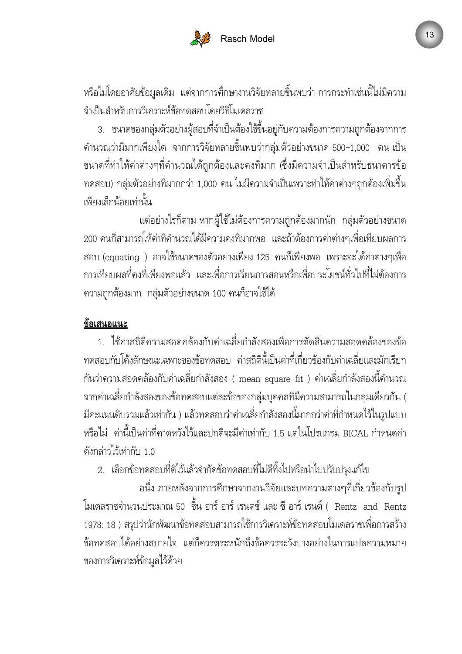

หรือไม่โดยอาศัยข้อมูลเดิม แต่จากการศึกษางานวิจัยหลายชิ้นพบว่า การกระทำเช่นนี้ไม่มีความ จำเป็นสำหรับการวิเคราะห์ข้อทดสอบโดยวิธีโมเดลราช

3. ขนาดของกลุ่มตัวอย่างผู้สอบที่จำเป็นต้องใช้ขึ้นอยู่กับความต้องการความถูกต้องจากการ คำนวณว่ามีมากเพียงใด จากการวิจัยหลายชิ้นพบว่ากลุ่มตัวอย่างขนาด 500–1,000 คน เป็น ขนาดที่ทำให้ค่าต่างๆที่คำนวณได้ถูกต้องและคงที่มาก (ซึ่งมีความจำเป็นสำหรับธนาคารข้อ ทดสอบ) กลุ่มตัวอย่างที่มากกว่า 1,000 คน ไม่มีความจำเป็นเพราะทำให้ค่าต่างๆถูกต้องเพิ่มขึ้น เพียงเล็กน้อยเท่านั้น

แต่อย่างไรก็ตาม หากผู้ใช้ไม่ต้องการความถูกต้องมากนัก กลุ่มตัวอย่างขนาด 200 คนก็สามารถให้ค่าที่คำนวณได้มีความคงที่มากพอ และถ้าต้องการค่าต่างๆเพื่อเทียบผลการ สอบ (equating ) อาจใช้ขนาดของตัวอย่างเพียง 125 คนก็เพียงพอ เพราะจะได้ค่าต่างๆเพื่อ การเทียบผลที่คงที่เพียงพอแล้ว และเพื่อการเรียนการสอนหรือเพื่อประโยชน์ทั่วไปที่ไม่ต้องการ ความถูกต้องมาก กลุ่มตัวอย่างขนาด 100 คนก็อาจใช้ได้

#### ข้อเสนอแนะ

1. ใช้ค่าสถิติความสอดคล้องกับค่าเฉลี่ยกำลังสองเพื่อการตัดสินความสอดคล้องของข้อ ทดสอบกับโค้งลักษณะเฉพาะของข้อทดสอบ ค่าสถิตินี้เป็นค่าที่เกี่ยวข้องกับค่าเฉลี่ยและมักเรียก กันว่าความสอดคล้องกับค่าเฉลี่ยกำลังสอง ( mean square fit ) ค่าเฉลี่ยกำลังสองนี้คำนวณ จากค่าเฉลี่ยกำลังสองของข้อทดสอบแต่ละข้อของกลุ่มบุคคลที่มีความสามารถในกลุ่มเดียวกัน ( มีคะแนนดิบรวมแล้วเท่ากัน ) แล้วทดสอบว่าค่าเฉลี่ยกำลังสองนี้มากกว่าค่าที่กำหนดไว้ในรูปแบบ หรือไม่ ค่านี้เป็นค่าที่คาดหวังไว้และปกติจะมีค่าเท่ากับ 1.5 แต่ในโปรแกรม BICAL กำหนดค่า ดังกล่าวไว้เท่ากับ 1.0

2. เลือกข้อทดสอบที่ดีไว้แล้วจำกัดข้อทดสอบที่ไม่ดีทิ้งไปหรือนำไปปรับปรุงแก้ไข

อนึ่ง ภายหลังจากการศึกษาจากงานวิจัยและบทความต่างๆที่เกี่ยวข้องกับรูป โมเดลราชจำนวนประมาณ 50 ชิ้น อาร์ อาร์ เรนตซ์ และ ซี อาร์ เรนต์ ( Rentz and Rentz 1978: 18 ) สรุปว่านักพัฒนาข้อทดสอบสามารถใช้การวิเคราะห์ข้อทดสอบโมเดลราชเพื่อการสร้าง ข้อทดสอบได้อย่างสบายใจ แต่ก็ควรตระหนักถึงข้อควรระวังบางอย่างในการแปลความหมาย ของการวิเคราะห์ข้อมูลไว้ด้วย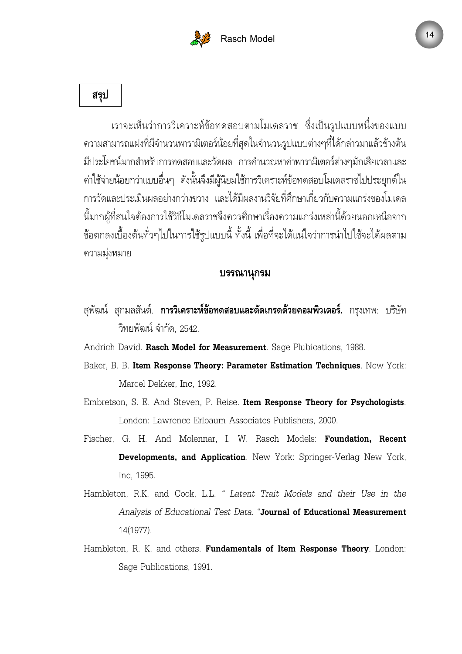



เราจะเห็นว่าการวิเคราะห์ข้อทดสอบตามโมเดลราช ซึ่งเป็นรูปแบบหนึ่งของแบบ ความสามารถแฝงที่มีจำนวนพารามิเตอร์น้อยที่สุดในจำนวนรูปแบบต่างๆที่ได้กล่าวมาแล้วข้างต้น มีประโยชน์มากสำหรับการทดสอบและวัดผล การคำนวณหาค่าพารามิเตอร์ต่างๆมักเสียเวลาและ ค่าใช้จ่ายน้อยกว่าแบบอื่นๆ ดังนั้นจึงมีผู้นิยมใช้การวิเคราะห์ข้อทดสอบโมเดลราชไปประยุกต์ใน การวัดและประเมินผลอย่างกว่างขวาง และได้มีผลงานวิจัยที่ศึกษาเกี่ยวกับความแกร่งของโมเดล นี้มากผู้ที่สนใจต้องการใช้วิธีโมเดลราชจึงควรศึกษาเรื่องความแกร่งเหล่านี้ด้วยนอกเหนือจาก ข้อตกลงเบื้องต้นทั่วๆไปในการใช้รูปแบบนี้ ทั้งนี้ เพื่อที่จะได้แน่ใจว่าการนำไปใช้จะได้ผลตาม ความมุ่งหมาย

#### บรรณานุกรม

- สุพัฒน์ สุกมลสันต์. **การวิเคราะห์ข้อทดสอบและตัดเกรดด้วยคอมพิวเตอร์.** กรุงเทพ: บริษัท วิทยพัฒน์ จำกัด, 2542.
- Andrich David. Rasch Model for Measurement. Sage Plubications, 1988.
- Baker, B. B. Item Response Theory: Parameter Estimation Techniques. New York: Marcel Dekker, Inc, 1992.
- Embretson, S. E. And Steven, P. Reise. Item Response Theory for Psychologists. London: Lawrence Erlbaum Associates Publishers, 2000.
- Fischer, G. H. And Molennar, I. W. Rasch Models: Foundation, Recent Developments, and Application. New York: Springer-Verlag New York, Inc, 1995.
- Hambleton, R.K. and Cook, L.L. " Latent Trait Models and their Use in the Analysis of Educational Test Data. "Journal of Educational Measurement 14(1977).
- Hambleton, R. K. and others. Fundamentals of Item Response Theory. London: Sage Publications, 1991.